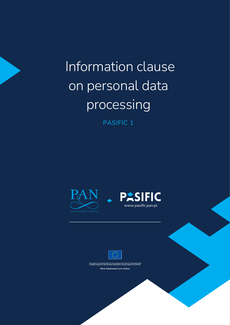Information clause on personal data processing

PASIFIC 1







This project has received funding from the European Union's Horizon 2020 research and<br>Innovation programme under the Maria Skłodowska-Curie grant agreement No 847639, Maria Skłodowska-Curie Actions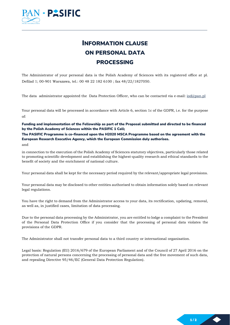

## INFORMATION CLAUSE ON PERSONAL DATA PROCESSING

The Administrator of your personal data is the Polish Academy of Sciences with its registered office at pl. Defilad 1; 00-901 Warszawa, tel.: 00 48 22 182 6100 ; fax 48/22/1827050.

The data administrator appointed the Data Protection Officer, who can be contacted via e-mail: [iod@pan.pl](mailto:iod@pan.pl)

Your personal data will be processed in accordance with Article 6, section 1c of the GDPR, i.e. for the purpose of:

Funding and implementation of the Fellowship as part of the Proposal submitted and directed to be financed by the Polish Academy of Sciences within the PASIFIC 1 Call;

The PASIFIC Programme is co-financed upon the H2020 MSCA Programme based on the agreement with the European Research Executive Agency, which the European Commission duly authorises. and

in connection to the execution of the Polish Academy of Sciences statutory objectives, particularly those related to promoting scientific development and establishing the highest-quality research and ethical standards to the benefit of society and the enrichment of national culture.

Your personal data shall be kept for the necessary period required by the relevant/appropriate legal provisions.

Your personal data may be disclosed to other entities authorised to obtain information solely based on relevant legal regulations.

You have the right to demand from the Administrator access to your data, its rectification, updating, removal, as well as, in justified cases, limitation of data processing.

Due to the personal data processing by the Administrator, you are entitled to lodge a complaint to the President of the Personal Data Protection Office if you consider that the processing of personal data violates the provisions of the GDPR.

The Administrator shall not transfer personal data to a third country or international organisation.

Legal basis: Regulation (EU) 2016/679 of the European Parliament and of the Council of 27 April 2016 on the protection of natural persons concerning the processing of personal data and the free movement of such data, and repealing Directive 95/46/EC (General Data Protection Regulation).

 $1/2$